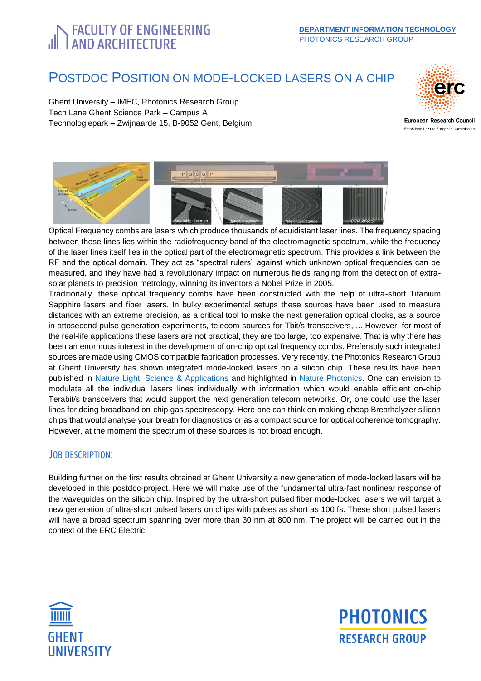# **FACULTY OF ENGINEERING**<br>| AND ARCHITECTURE

## POSTDOC POSITION ON MODE-LOCKED LASERS ON A CHIP

Ghent University – IMEC, Photonics Research Group Tech Lane Ghent Science Park – Campus A Technologiepark – Zwijnaarde 15, B-9052 Gent, Belgium

<span id="page-0-0"></span>

European Research Council Established by the European Commission



Optical Frequency combs are lasers which produce thousands of equidistant laser lines. The frequency spacing between these lines lies within the radiofrequency band of the electromagnetic spectrum, while the frequency of the laser lines itself lies in the optical part of the electromagnetic spectrum. This provides a link between the RF and the optical domain. They act as "spectral rulers" against which unknown optical frequencies can be measured, and they have had a revolutionary impact on numerous fields ranging from the detection of extrasolar planets to precision metrology, winning its inventors a Nobel Prize in 2005.

Traditionally, these optical frequency combs have been constructed with the help of ultra-short Titanium Sapphire lasers and fiber lasers. In bulky experimental setups these sources have been used to measure distances with an extreme precision, as a critical tool to make the next generation optical clocks, as a source in attosecond pulse generation experiments, telecom sources for Tbit/s transceivers, ... However, for most of the real-life applications these lasers are not practical, they are too large, too expensive. That is why there has been an enormous interest in the development of on-chip optical frequency combs. Preferably such integrated sources are made using CMOS compatible fabrication processes. Very recently, the Photonics Research Group at Ghent University has shown integrated mode-locked lasers on a silicon chip. These results have been published in [Nature Light: Science & Applications](https://www.nature.com/articles/lsa2016260) and highlighted in [Nature Photonics.](https://www.nature.com/articles/nphoton.2017.112) One can envision to modulate all the individual lasers lines individually with information which would enable efficient on-chip Terabit/s transceivers that would support the next generation telecom networks. Or, one could use the laser lines for doing broadband on-chip gas spectroscopy. Here one can think on making cheap Breathalyzer silicon chips that would analyse your breath for diagnostics or as a compact source for optical coherence tomography. However, at the moment the spectrum of these sources is not broad enough.

#### JOB DESCRIPTION:

Building further on the first results obtained at Ghent University a new generation of mode-locked lasers will be developed in this postdoc-project. Here we will make use of the fundamental ultra-fast nonlinear response of the waveguides on the silicon chip. Inspired by the ultra-short pulsed fiber mode-locked lasers we will target a new generation of ultra-short pulsed lasers on chips with pulses as short as 100 fs. These short pulsed lasers will have a broad spectrum spanning over more than 30 nm at 800 nm. The project will be carried out in the context of the ERC Electric.